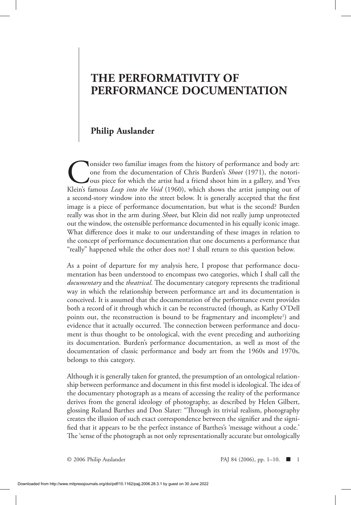## **THE PERFORMATIVITY OF PERFORMANCE DOCUMENTATION**

## **Philip Auslander**

Consider two familiar images from the history of performance and body art:<br>
one from the documentation of Chris Burden's *Shoot* (1971), the notori-<br>
Shein's famous *Leap into the Void* (1960), which shows the artist jumpi one from the documentation of Chris Burden's *Shoot* (1971), the notori-Jous piece for which the artist had a friend shoot him in a gallery, and Yves a second-story window into the street below. It is generally accepted that the first image is a piece of performance documentation, but what is the second? Burden really was shot in the arm during *Shoot*, but Klein did not really jump unprotected out the window, the ostensible performance documented in his equally iconic image. What difference does it make to our understanding of these images in relation to the concept of performance documentation that one documents a performance that "really" happened while the other does not? I shall return to this question below.

As a point of departure for my analysis here, I propose that performance documentation has been understood to encompass two categories, which I shall call the *documentary* and the *theatrical*. The documentary category represents the traditional way in which the relationship between performance art and its documentation is conceived. It is assumed that the documentation of the performance event provides both a record of it through which it can be reconstructed (though, as Kathy O'Dell points out, the reconstruction is bound to be fragmentary and incomplete<sup>1</sup>) and evidence that it actually occurred. The connection between performance and document is thus thought to be ontological, with the event preceding and authorizing its documentation. Burden's performance documentation, as well as most of the documentation of classic performance and body art from the 1960s and 1970s, belongs to this category.

Although it is generally taken for granted, the presumption of an ontological relationship between performance and document in this first model is ideological. The idea of the documentary photograph as a means of accessing the reality of the performance derives from the general ideology of photography, as described by Helen Gilbert, glossing Roland Barthes and Don Slater: "Through its trivial realism, photography creates the illusion of such exact correspondence between the signifier and the signified that it appears to be the perfect instance of Barthes's 'message without a code.' The 'sense of the photograph as not only representationally accurate but ontologically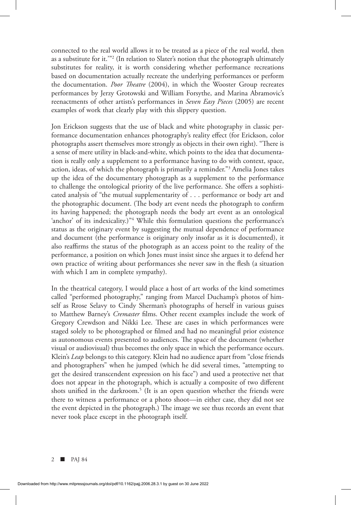connected to the real world allows it to be treated as a piece of the real world, then as a substitute for it.'"2 (In relation to Slater's notion that the photograph ultimately substitutes for reality, it is worth considering whether performance recreations based on documentation actually recreate the underlying performances or perform the documentation. *Poor Theatre* (2004), in which the Wooster Group recreates performances by Jerzy Grotowski and William Forsythe, and Marina Abramovic's reenactments of other artists's performances in *Seven Easy Pieces* (2005) are recent examples of work that clearly play with this slippery question.

Jon Erickson suggests that the use of black and white photography in classic performance documentation enhances photography's reality effect (for Erickson, color photographs assert themselves more strongly as objects in their own right). "There is a sense of mere utility in black-and-white, which points to the idea that documentation is really only a supplement to a performance having to do with context, space, action, ideas, of which the photograph is primarily a reminder."3 Amelia Jones takes up the idea of the documentary photograph as a supplement to the performance to challenge the ontological priority of the live performance. She offers a sophisticated analysis of "the mutual supplementarity of . . . performance or body art and the photographic document. (The body art event needs the photograph to confirm its having happened; the photograph needs the body art event as an ontological 'anchor' of its indexicality.)<sup>34</sup> While this formulation questions the performance's status as the originary event by suggesting the mutual dependence of performance and document (the performance is originary only insofar as it is documented), it also reaffirms the status of the photograph as an access point to the reality of the performance, a position on which Jones must insist since she argues it to defend her own practice of writing about performances she never saw in the flesh (a situation with which I am in complete sympathy).

In the theatrical category, I would place a host of art works of the kind sometimes called "performed photography," ranging from Marcel Duchamp's photos of himself as Rrose Selavy to Cindy Sherman's photographs of herself in various guises to Matthew Barney's *Cremaster* films. Other recent examples include the work of Gregory Crewdson and Nikki Lee. These are cases in which performances were staged solely to be photographed or filmed and had no meaningful prior existence as autonomous events presented to audiences. The space of the document (whether visual or audiovisual) thus becomes the only space in which the performance occurs. Klein's *Leap* belongs to this category. Klein had no audience apart from "close friends and photographers" when he jumped (which he did several times, "attempting to get the desired transcendent expression on his face") and used a protective net that does not appear in the photograph, which is actually a composite of two different shots unified in the darkroom.<sup>5</sup> (It is an open question whether the friends were there to witness a performance or a photo shoot—in either case, they did not see the event depicted in the photograph.) The image we see thus records an event that never took place except in the photograph itself.

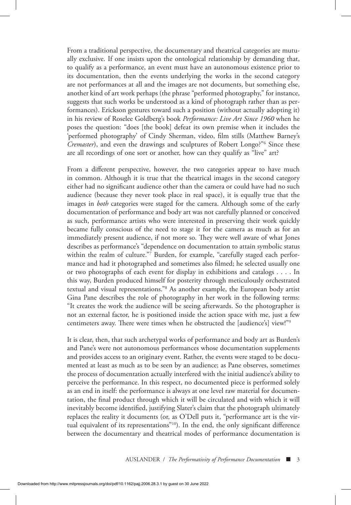From a traditional perspective, the documentary and theatrical categories are mutually exclusive. If one insists upon the ontological relationship by demanding that, to qualify as a performance, an event must have an autonomous existence prior to its documentation, then the events underlying the works in the second category are not performances at all and the images are not documents, but something else, another kind of art work perhaps (the phrase "performed photography," for instance, suggests that such works be understood as a kind of photograph rather than as performances). Erickson gestures toward such a position (without actually adopting it) in his review of Roselee Goldberg's book *Performance: Live Art Since 1960* when he poses the question: "does [the book] defeat its own premise when it includes the 'performed photography' of Cindy Sherman, video, film stills (Matthew Barney's Cremaster), and even the drawings and sculptures of Robert Longo?"<sup>6</sup> Since these are all recordings of one sort or another, how can they qualify as "live" art?

From a different perspective, however, the two categories appear to have much in common. Although it is true that the theatrical images in the second category either had no significant audience other than the camera or could have had no such audience (because they never took place in real space), it is equally true that the images in *both* categories were staged for the camera. Although some of the early documentation of performance and body art was not carefully planned or conceived as such, performance artists who were interested in preserving their work quickly became fully conscious of the need to stage it for the camera as much as for an immediately present audience, if not more so. They were well aware of what Jones describes as performance's "dependence on documentation to attain symbolic status within the realm of culture."7 Burden, for example, "carefully staged each performance and had it photographed and sometimes also filmed; he selected usually one or two photographs of each event for display in exhibitions and catalogs . . . . In this way, Burden produced himself for posterity through meticulously orchestrated textual and visual representations."8 As another example, the European body artist Gina Pane describes the role of photography in her work in the following terms: "It creates the work the audience will be seeing afterwards. So the photographer is not an external factor, he is positioned inside the action space with me, just a few centimeters away. There were times when he obstructed the [audience's] view!"9

It is clear, then, that such archetypal works of performance and body art as Burden's and Pane's were not autonomous performances whose documentation supplements and provides access to an originary event. Rather, the events were staged to be documented at least as much as to be seen by an audience; as Pane observes, sometimes the process of documentation actually interfered with the initial audience's ability to perceive the performance. In this respect, no documented piece is performed solely as an end in itself: the performance is always at one level raw material for documentation, the final product through which it will be circulated and with which it will inevitably become identified, justifying Slater's claim that the photograph ultimately replaces the reality it documents (or, as O'Dell puts it, "performance art is the virtual equivalent of its representations"10). In the end, the only significant difference between the documentary and theatrical modes of performance documentation is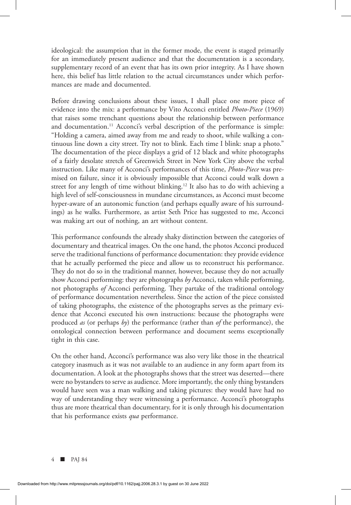ideological: the assumption that in the former mode, the event is staged primarily for an immediately present audience and that the documentation is a secondary, supplementary record of an event that has its own prior integrity. As I have shown here, this belief has little relation to the actual circumstances under which performances are made and documented.

Before drawing conclusions about these issues, I shall place one more piece of evidence into the mix: a performance by Vito Acconci entitled *Photo-Piece* (1969) that raises some trenchant questions about the relationship between performance and documentation.<sup>11</sup> Acconci's verbal description of the performance is simple: "Holding a camera, aimed away from me and ready to shoot, while walking a continuous line down a city street. Try not to blink. Each time I blink: snap a photo." The documentation of the piece displays a grid of 12 black and white photographs of a fairly desolate stretch of Greenwich Street in New York City above the verbal instruction. Like many of Acconci's performances of this time, *Photo-Piece* was premised on failure, since it is obviously impossible that Acconci could walk down a street for any length of time without blinking.<sup>12</sup> It also has to do with achieving a high level of self-consciousness in mundane circumstances, as Acconci must become hyper-aware of an autonomic function (and perhaps equally aware of his surroundings) as he walks. Furthermore, as artist Seth Price has suggested to me, Acconci was making art out of nothing, an art without content.

This performance confounds the already shaky distinction between the categories of documentary and theatrical images. On the one hand, the photos Acconci produced serve the traditional functions of performance documentation: they provide evidence that he actually performed the piece and allow us to reconstruct his performance. They do not do so in the traditional manner, however, because they do not actually show Acconci performing: they are photographs *by* Acconci, taken while performing, not photographs *of* Acconci performing. They partake of the traditional ontology of performance documentation nevertheless. Since the action of the piece consisted of taking photographs, the existence of the photographs serves as the primary evidence that Acconci executed his own instructions: because the photographs were produced *as* (or perhaps *by*) the performance (rather than *of* the performance), the ontological connection between performance and document seems exceptionally tight in this case.

On the other hand, Acconci's performance was also very like those in the theatrical category inasmuch as it was not available to an audience in any form apart from its documentation. A look at the photographs shows that the street was deserted—there were no bystanders to serve as audience. More importantly, the only thing bystanders would have seen was a man walking and taking pictures: they would have had no way of understanding they were witnessing a performance. Acconci's photographs thus are more theatrical than documentary, for it is only through his documentation that his performance exists *qua* performance.

 $\blacksquare$  PAJ 84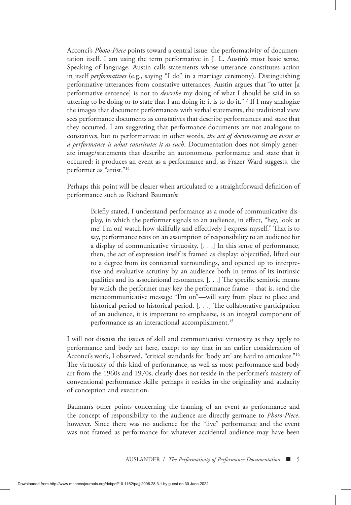Acconci's *Photo-Piece* points toward a central issue: the performativity of documentation itself. I am using the term performative in J. L. Austin's most basic sense. Speaking of language, Austin calls statements whose utterance constitutes action in itself *performatives* (e.g., saying "I do" in a marriage ceremony). Distinguishing performative utterances from constative utterances, Austin argues that "to utter [a performative sentence] is not to *describe* my doing of what I should be said in so uttering to be doing or to state that I am doing it: it is to do it."13 If I may analogize the images that document performances with verbal statements, the traditional view sees performance documents as constatives that describe performances and state that they occurred. I am suggesting that performance documents are not analogous to constatives, but to performatives: in other words, *the act of documenting an event as a performance is what constitutes it as such*. Documentation does not simply generate image/statements that describe an autonomous performance and state that it occurred: it produces an event as a performance and, as Frazer Ward suggests, the performer as "artist."14

Perhaps this point will be clearer when articulated to a straightforward definition of performance such as Richard Bauman's:

> Briefly stated, I understand performance as a mode of communicative display, in which the performer signals to an audience, in effect, "hey, look at me! I'm on! watch how skillfully and effectively I express myself." That is to say, performance rests on an assumption of responsibility to an audience for a display of communicative virtuosity. [. . .] In this sense of performance, then, the act of expression itself is framed as display: objectified, lifted out to a degree from its contextual surroundings, and opened up to interpretive and evaluative scrutiny by an audience both in terms of its intrinsic qualities and its associational resonances. [. . .] The specific semiotic means by which the performer may key the performance frame—that is, send the metacommunicative message "I'm on"—will vary from place to place and historical period to historical period. [. . .] The collaborative participation of an audience, it is important to emphasize, is an integral component of performance as an interactional accomplishment.<sup>15</sup>

I will not discuss the issues of skill and communicative virtuosity as they apply to performance and body art here, except to say that in an earlier consideration of Acconci's work, I observed, "critical standards for 'body art' are hard to articulate."16 The virtuosity of this kind of performance, as well as most performance and body art from the 1960s and 1970s, clearly does not reside in the performer's mastery of conventional performance skills: perhaps it resides in the originality and audacity of conception and execution.

Bauman's other points concerning the framing of an event as performance and the concept of responsibility to the audience are directly germane to *Photo-Piece*, however. Since there was no audience for the "live" performance and the event was not framed as performance for whatever accidental audience may have been

AUSLANDER / *The Performativity of Performance Documentation*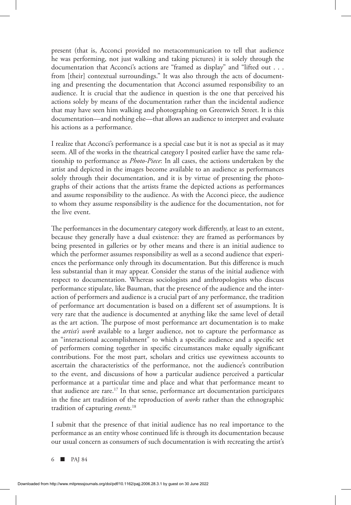present (that is, Acconci provided no metacommunication to tell that audience he was performing, not just walking and taking pictures) it is solely through the documentation that Acconci's actions are "framed as display" and "lifted out . . . from [their] contextual surroundings." It was also through the acts of documenting and presenting the documentation that Acconci assumed responsibility to an audience. It is crucial that the audience in question is the one that perceived his actions solely by means of the documentation rather than the incidental audience that may have seen him walking and photographing on Greenwich Street. It is this documentation—and nothing else—that allows an audience to interpret and evaluate his actions as a performance.

I realize that Acconci's performance is a special case but it is not as special as it may seem. All of the works in the theatrical category I posited earlier have the same relationship to performance as *Photo-Piece*: In all cases, the actions undertaken by the artist and depicted in the images become available to an audience as performances solely through their documentation, and it is by virtue of presenting the photographs of their actions that the artists frame the depicted actions as performances and assume responsibility to the audience. As with the Acconci piece, the audience to whom they assume responsibility is the audience for the documentation, not for the live event.

The performances in the documentary category work differently, at least to an extent, because they generally have a dual existence: they are framed as performances by being presented in galleries or by other means and there is an initial audience to which the performer assumes responsibility as well as a second audience that experiences the performance only through its documentation. But this difference is much less substantial than it may appear. Consider the status of the initial audience with respect to documentation. Whereas sociologists and anthropologists who discuss performance stipulate, like Bauman, that the presence of the audience and the interaction of performers and audience is a crucial part of any performance, the tradition of performance art documentation is based on a different set of assumptions. It is very rare that the audience is documented at anything like the same level of detail as the art action. The purpose of most performance art documentation is to make the *artist's work* available to a larger audience, not to capture the performance as an "interactional accomplishment" to which a specific audience and a specific set of performers coming together in specific circumstances make equally significant contributions. For the most part, scholars and critics use eyewitness accounts to ascertain the characteristics of the performance, not the audience's contribution to the event, and discussions of how a particular audience perceived a particular performance at a particular time and place and what that performance meant to that audience are rare.<sup>17</sup> In that sense, performance art documentation participates in the fine art tradition of the reproduction of *works* rather than the ethnographic tradition of capturing *events*. 18

I submit that the presence of that initial audience has no real importance to the performance as an entity whose continued life is through its documentation because our usual concern as consumers of such documentation is with recreating the artist's

6 **PAJ 84**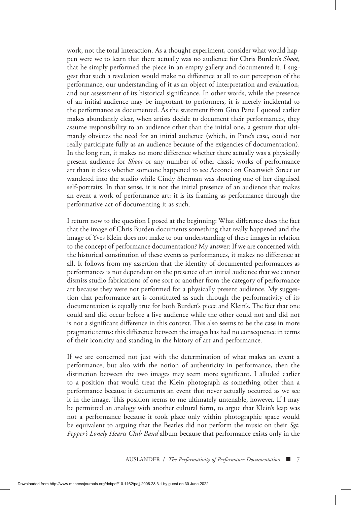work, not the total interaction. As a thought experiment, consider what would happen were we to learn that there actually was no audience for Chris Burden's *Shoot*, that he simply performed the piece in an empty gallery and documented it. I suggest that such a revelation would make no difference at all to our perception of the performance, our understanding of it as an object of interpretation and evaluation, and our assessment of its historical significance. In other words, while the presence of an initial audience may be important to performers, it is merely incidental to the performance as documented. As the statement from Gina Pane I quoted earlier makes abundantly clear, when artists decide to document their performances, they assume responsibility to an audience other than the initial one, a gesture that ultimately obviates the need for an initial audience (which, in Pane's case, could not really participate fully as an audience because of the exigencies of documentation). In the long run, it makes no more difference whether there actually was a physically present audience for *Shoot* or any number of other classic works of performance art than it does whether someone happened to see Acconci on Greenwich Street or wandered into the studio while Cindy Sherman was shooting one of her disguised self-portraits. In that sense, it is not the initial presence of an audience that makes an event a work of performance art: it is its framing as performance through the performative act of documenting it as such.

I return now to the question I posed at the beginning: What difference does the fact that the image of Chris Burden documents something that really happened and the image of Yves Klein does not make to our understanding of these images in relation to the concept of performance documentation? My answer: If we are concerned with the historical constitution of these events as performances, it makes no difference at all. It follows from my assertion that the identity of documented performances as performances is not dependent on the presence of an initial audience that we cannot dismiss studio fabrications of one sort or another from the category of performance art because they were not performed for a physically present audience. My suggestion that performance art is constituted as such through the performativity of its documentation is equally true for both Burden's piece and Klein's. The fact that one could and did occur before a live audience while the other could not and did not is not a significant difference in this context. This also seems to be the case in more pragmatic terms: this difference between the images has had no consequence in terms of their iconicity and standing in the history of art and performance.

If we are concerned not just with the determination of what makes an event a performance, but also with the notion of authenticity in performance, then the distinction between the two images may seem more significant. I alluded earlier to a position that would treat the Klein photograph as something other than a performance because it documents an event that never actually occurred as we see it in the image. This position seems to me ultimately untenable, however. If I may be permitted an analogy with another cultural form, to argue that Klein's leap was not a performance because it took place only within photographic space would be equivalent to arguing that the Beatles did not perform the music on their *Sgt. Pepper's Lonely Hearts Club Band* album because that performance exists only in the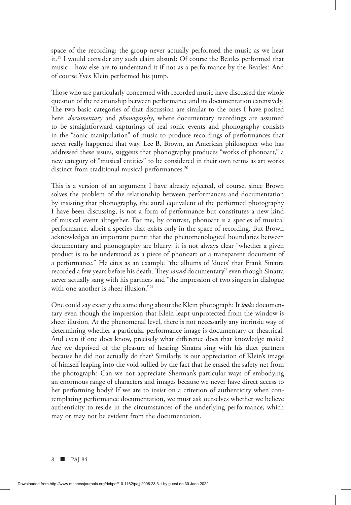space of the recording: the group never actually performed the music as we hear it.19 I would consider any such claim absurd: Of course the Beatles performed that music—how else are to understand it if not as a performance by the Beatles? And of course Yves Klein performed his jump.

Those who are particularly concerned with recorded music have discussed the whole question of the relationship between performance and its documentation extensively. The two basic categories of that discussion are similar to the ones I have posited here: *documentary* and *phonography*, where documentary recordings are assumed to be straightforward capturings of real sonic events and phonography consists in the "sonic manipulation" of music to produce recordings of performances that never really happened that way. Lee B. Brown, an American philosopher who has addressed these issues, suggests that phonography produces "works of phonoart," a new category of "musical entities" to be considered in their own terms as art works distinct from traditional musical performances.<sup>20</sup>

This is a version of an argument I have already rejected, of course, since Brown solves the problem of the relationship between performances and documentation by insisting that phonography, the aural equivalent of the performed photography I have been discussing, is not a form of performance but constitutes a new kind of musical event altogether. For me, by contrast, phonoart is a species of musical performance, albeit a species that exists only in the space of recording. But Brown acknowledges an important point: that the phenomenological boundaries between documentary and phonography are blurry: it is not always clear "whether a given product is to be understood as a piece of phonoart or a transparent document of a performance." He cites as an example "the albums of 'duets' that Frank Sinatra recorded a few years before his death. They *sound* documentary" even though Sinatra never actually sang with his partners and "the impression of two singers in dialogue with one another is sheer illusion."<sup>21</sup>

One could say exactly the same thing about the Klein photograph: It *looks* documentary even though the impression that Klein leapt unprotected from the window is sheer illusion. At the phenomenal level, there is not necessarily any intrinsic way of determining whether a particular performance image is documentary or theatrical. And even if one does know, precisely what difference does that knowledge make? Are we deprived of the pleasure of hearing Sinatra sing with his duet partners because he did not actually do that? Similarly, is our appreciation of Klein's image of himself leaping into the void sullied by the fact that he erased the safety net from the photograph? Can we not appreciate Sherman's particular ways of embodying an enormous range of characters and images because we never have direct access to her performing body? If we are to insist on a criterion of authenticity when contemplating performance documentation, we must ask ourselves whether we believe authenticity to reside in the circumstances of the underlying performance, which may or may not be evident from the documentation.

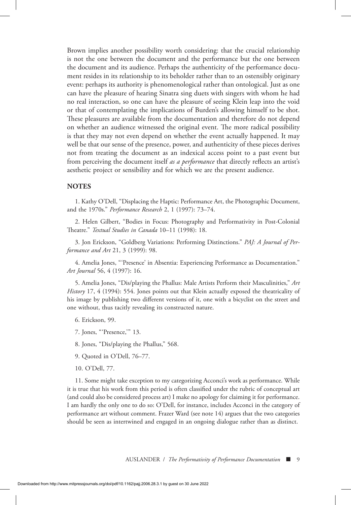Brown implies another possibility worth considering: that the crucial relationship is not the one between the document and the performance but the one between the document and its audience. Perhaps the authenticity of the performance document resides in its relationship to its beholder rather than to an ostensibly originary event: perhaps its authority is phenomenological rather than ontological. Just as one can have the pleasure of hearing Sinatra sing duets with singers with whom he had no real interaction, so one can have the pleasure of seeing Klein leap into the void or that of contemplating the implications of Burden's allowing himself to be shot. These pleasures are available from the documentation and therefore do not depend on whether an audience witnessed the original event. The more radical possibility is that they may not even depend on whether the event actually happened. It may well be that our sense of the presence, power, and authenticity of these pieces derives not from treating the document as an indexical access point to a past event but from perceiving the document itself *as a performance* that directly reflects an artist's aesthetic project or sensibility and for which we are the present audience.

## **NOTES**

1. Kathy O'Dell, "Displacing the Haptic: Performance Art, the Photographic Document, and the 1970s." *Performance Research* 2, 1 (1997): 73–74.

2. Helen Gilbert, "Bodies in Focus: Photography and Performativity in Post-Colonial Theatre." *Textual Studies in Canada* 10–11 (1998): 18.

3. Jon Erickson, "Goldberg Variations: Performing Distinctions." *PAJ: A Journal of Performance and Art* 21, 3 (1999): 98.

4. Amelia Jones, "'Presence' in Absentia: Experiencing Performance as Documentation." *Art Journal* 56, 4 (1997): 16.

5. Amelia Jones, "Dis/playing the Phallus: Male Artists Perform their Masculinities," *Art History* 17, 4 (1994): 554. Jones points out that Klein actually exposed the theatricality of his image by publishing two different versions of it, one with a bicyclist on the street and one without, thus tacitly revealing its constructed nature.

6. Erickson, 99.

7. Jones, "'Presence,'" 13.

8. Jones, "Dis/playing the Phallus," 568.

9. Quoted in O'Dell, 76–77.

10. O'Dell, 77.

11. Some might take exception to my categorizing Acconci's work as performance. While it is true that his work from this period is often classified under the rubric of conceptual art (and could also be considered process art) I make no apology for claiming it for performance. I am hardly the only one to do so: O'Dell, for instance, includes Acconci in the category of performance art without comment. Frazer Ward (see note 14) argues that the two categories should be seen as intertwined and engaged in an ongoing dialogue rather than as distinct.

AUSLANDER / *The Performativity of Performance Documentation*